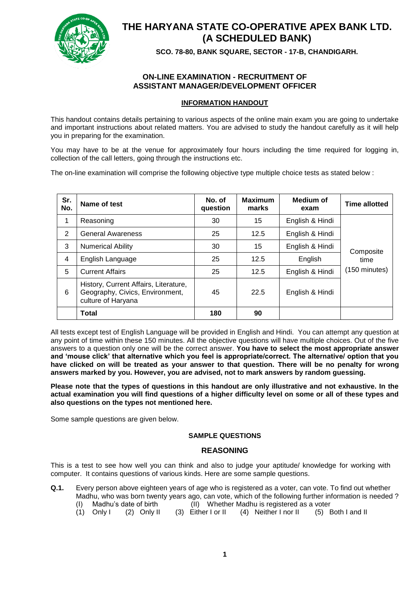

# **THE HARYANA STATE CO-OPERATIVE APEX BANK LTD. (A SCHEDULED BANK)**

**SCO. 78-80, BANK SQUARE, SECTOR - 17-B, CHANDIGARH.**

# **ON-LINE EXAMINATION - RECRUITMENT OF ASSISTANT MANAGER/DEVELOPMENT OFFICER**

# **INFORMATION HANDOUT**

This handout contains details pertaining to various aspects of the online main exam you are going to undertake and important instructions about related matters. You are advised to study the handout carefully as it will help you in preparing for the examination.

You may have to be at the venue for approximately four hours including the time required for logging in, collection of the call letters, going through the instructions etc.

The on-line examination will comprise the following objective type multiple choice tests as stated below :

| Sr.<br>No. | Name of test                                                                                   | No. of<br>question | <b>Maximum</b><br>marks | Medium of<br>exam | <b>Time allotted</b>    |  |
|------------|------------------------------------------------------------------------------------------------|--------------------|-------------------------|-------------------|-------------------------|--|
| 1          | Reasoning                                                                                      | 30                 | 15                      | English & Hindi   |                         |  |
| 2          | <b>General Awareness</b>                                                                       | 25                 | 12.5                    | English & Hindi   |                         |  |
| 3          | <b>Numerical Ability</b>                                                                       | 30                 | 15                      | English & Hindi   | Composite               |  |
| 4          | English Language                                                                               | 25                 | 12.5                    | English           | time                    |  |
| 5          | <b>Current Affairs</b>                                                                         | 25                 | 12.5                    | English & Hindi   | $(150 \text{ minutes})$ |  |
| 6          | History, Current Affairs, Literature,<br>Geography, Civics, Environment,<br>culture of Haryana | 45                 | 22.5                    | English & Hindi   |                         |  |
|            | Total                                                                                          | 180                | 90                      |                   |                         |  |

All tests except test of English Language will be provided in English and Hindi. You can attempt any question at any point of time within these 150 minutes. All the objective questions will have multiple choices. Out of the five answers to a question only one will be the correct answer. **You have to select the most appropriate answer and 'mouse click' that alternative which you feel is appropriate/correct. The alternative/ option that you have clicked on will be treated as your answer to that question. There will be no penalty for wrong answers marked by you. However, you are advised, not to mark answers by random guessing.**

**Please note that the types of questions in this handout are only illustrative and not exhaustive. In the actual examination you will find questions of a higher difficulty level on some or all of these types and also questions on the types not mentioned here.**

Some sample questions are given below.

# **SAMPLE QUESTIONS**

# **REASONING**

This is a test to see how well you can think and also to judge your aptitude/ knowledge for working with computer. It contains questions of various kinds. Here are some sample questions.

- **Q.1.** Every person above eighteen years of age who is registered as a voter, can vote. To find out whether Madhu, who was born twenty years ago, can vote, which of the following further information is needed ? (I) Madhu's date of birth (II) Whether Madhu is registered as a voter
	- (1) Only I (2) Only II (3) Either I or II (4) Neither I nor II (5) Both I and II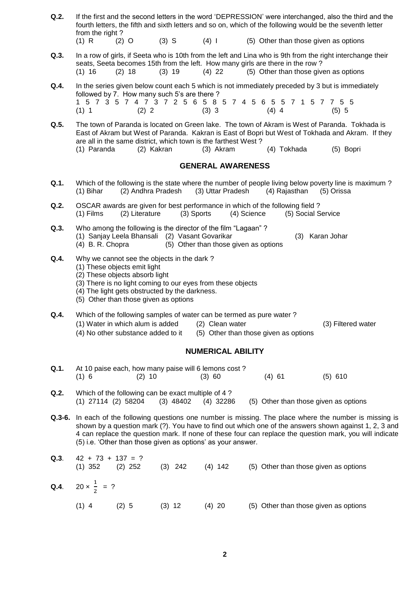- **Q.2.** If the first and the second letters in the word 'DEPRESSION' were interchanged, also the third and the fourth letters, the fifth and sixth letters and so on, which of the following would be the seventh letter from the right ? (1) R  $(2)$  O  $(3)$  S  $(4)$  I  $(5)$  Other than those given as options
- **Q.3.** In a row of girls, if Seeta who is 10th from the left and Lina who is 9th from the right interchange their seats, Seeta becomes 15th from the left. How many girls are there in the row ? (1)  $16$  (2)  $18$  (3)  $19$  (4)  $22$  (5) Other than those given as options
- **Q.4.** In the series given below count each 5 which is not immediately preceded by 3 but is immediately followed by 7. How many such 5's are there ? 1 5 7 3 5 7 4 7 3 7 2 5 6 5 8 5 7 4 5 6 5 5 7 1 5 7 7 5 5 (1) 1 (2) 2 (3) 3 (4) 4 (5) 5
- **Q.5.** The town of Paranda is located on Green lake. The town of Akram is West of Paranda. Tokhada is East of Akram but West of Paranda. Kakran is East of Bopri but West of Tokhada and Akram. If they are all in the same district, which town is the farthest West?<br>(1) Paranda (2) Kakran (3) Akram (1) Paranda (2) Kakran (3) Akram (4) Tokhada (5) Bopri

### **GENERAL AWARENESS**

- **Q.1.** Which of the following is the state where the number of people living below poverty line is maximum ? (1) Bihar (2) Andhra Pradesh (3) Uttar Pradesh (4) Rajasthan (5) Orissa
- **Q.2.** OSCAR awards are given for best performance in which of the following field ?<br>(1) Films (2) Literature (3) Sports (4) Science (5) Social S (1) Films (2) Literature (3) Sports (4) Science (5) Social Service
- **Q.3.** Who among the following is the director of the film "Lagaan" ? (1) Sanjay Leela Bhansali (2) Vasant Govarikar (3) Karan Johar (4) B. R. Chopra (5) Other than those given as options
- **Q.4.** Why we cannot see the objects in the dark?
	- (1) These objects emit light
	- (2) These objects absorb light
	- (3) There is no light coming to our eyes from these objects
	- (4) The light gets obstructed by the darkness.
	- (5) Other than those given as options
- **Q.4.** Which of the following samples of water can be termed as pure water ?
	- (1) Water in which alum is added (2) Clean water (3) Filtered water

(4) No other substance added to it (5) Other than those given as options

# **NUMERICAL ABILITY**

- **Q.1.** At 10 paise each, how many paise will 6 lemons cost ? (1) 6 (2) 10 (3) 60 (4) 61 (5) 610
- **Q.2.** Which of the following can be exact multiple of 4 ? (1) 27114 (2) 58204 (3) 48402 (4) 32286 (5) Other than those given as options
- **Q.3-6.** In each of the following questions one number is missing. The place where the number is missing is shown by a question mark (?). You have to find out which one of the answers shown against 1, 2, 3 and 4 can replace the question mark. If none of these four can replace the question mark, you will indicate (5) i.e. 'Other than those given as options' as your answer.

| Q.3. | $42 + 73 + 137 = ?$<br>$(1)$ 352 | $(2)$ 252 | $(3)$ 242 | $(4)$ 142 | (5) Other than those given as options |
|------|----------------------------------|-----------|-----------|-----------|---------------------------------------|
|      | Q.4. $20 \times \frac{1}{2} = ?$ |           |           |           |                                       |
|      | $(1)$ 4                          | (2) 5     | $(3)$ 12  | $(4)$ 20  | (5) Other than those given as options |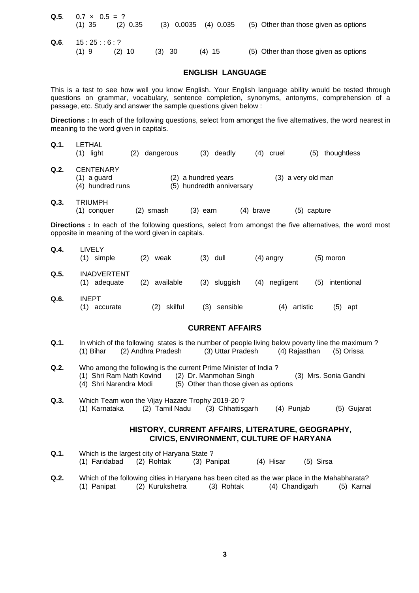|      | Q.5. $0.7 \times 0.5 = ?$ |            |          |                          |                                       |  |  |
|------|---------------------------|------------|----------|--------------------------|---------------------------------------|--|--|
|      | $(1)$ 35                  | $(2)$ 0.35 |          | $(3)$ 0.0035 $(4)$ 0.035 | (5) Other than those given as options |  |  |
| Q.6. | 15:25:6:?                 |            |          |                          |                                       |  |  |
|      | $(1)$ 9                   | $(2)$ 10   | $(3)$ 30 | $(4)$ 15                 | (5) Other than those given as options |  |  |

## **ENGLISH LANGUAGE**

This is a test to see how well you know English. Your English language ability would be tested through questions on grammar, vocabulary, sentence completion, synonyms, antonyms, comprehension of a passage, etc. Study and answer the sample questions given below :

**Directions :** In each of the following questions, select from amongst the five alternatives, the word nearest in meaning to the word given in capitals.

| Q.1. | _ETHAL<br>light<br>(1)                                | (2) | dangerous | (3)                                              | deadly | 4) | cruel | (5)                | thoughtless |
|------|-------------------------------------------------------|-----|-----------|--------------------------------------------------|--------|----|-------|--------------------|-------------|
| Q.2. | <b>CENTENARY</b><br>$(1)$ a guard<br>(4) hundred runs |     |           | (2) a hundred years<br>(5) hundredth anniversary |        |    |       | (3) a very old man |             |
| Q.3. | TRIUMPH                                               |     |           |                                                  |        |    |       |                    |             |

| (1) conquer | $(2)$ smash | $(3)$ earn | $(4)$ brave | (5) capture |
|-------------|-------------|------------|-------------|-------------|
|-------------|-------------|------------|-------------|-------------|

**Directions :** In each of the following questions, select from amongst the five alternatives, the word most opposite in meaning of the word given in capitals.

| Q.A  | LIVELY<br>(1)<br>simple               | (2)<br>weak      | (3)<br>dull     | (4) angry        | $(5)$ moron        |
|------|---------------------------------------|------------------|-----------------|------------------|--------------------|
| Q.5. | <b>INADVERTENT</b><br>(1)<br>adequate | (2)<br>available | (3) sluggish    | (4)<br>negligent | (5)<br>intentional |
| Q.6. | <b>INEPT</b><br>(1)<br>accurate       | skilful<br>(2)   | (3)<br>sensible | artistic<br>(4)  | (5)<br>apt         |

# **CURRENT AFFAIRS**

- **Q.1.** In which of the following states is the number of people living below poverty line the maximum ? (1) Bihar (2) Andhra Pradesh (3) Uttar Pradesh (4) Rajasthan (5) Orissa
- **Q.2.** Who among the following is the current Prime Minister of India ? (1) Shri Ram Nath Kovind (2) Dr. Manmohan Singh (3) Mrs. Sonia Gandhi  $(4)$  Shri Narendra Modi  $(5)$  Other than those given as options
- **Q.3.** Which Team won the Vijay Hazare Trophy 2019-20 ? (1) Karnataka (2) Tamil Nadu (3) Chhattisgarh (4) Punjab (5) Gujarat

# **HISTORY, CURRENT AFFAIRS, LITERATURE, GEOGRAPHY, CIVICS, ENVIRONMENT, CULTURE OF HARYANA**

- **Q.1.** Which is the largest city of Haryana State ? (1) Faridabad (2) Rohtak (3) Panipat (4) Hisar (5) Sirsa
- **Q.2.** Which of the following cities in Haryana has been cited as the war place in the Mahabharata? (1) Panipat (2) Kurukshetra (3) Rohtak (4) Chandigarh (5) Karnal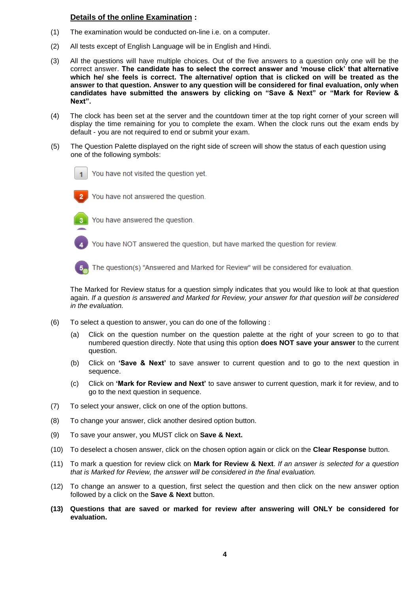# **Details of the online Examination :**

- (1) The examination would be conducted on-line i.e. on a computer.
- (2) All tests except of English Language will be in English and Hindi.
- (3) All the questions will have multiple choices. Out of the five answers to a question only one will be the correct answer. **The candidate has to select the correct answer and 'mouse click' that alternative which he/ she feels is correct. The alternative/ option that is clicked on will be treated as the answer to that question. Answer to any question will be considered for final evaluation, only when candidates have submitted the answers by clicking on "Save & Next" or "Mark for Review & Next".**
- (4) The clock has been set at the server and the countdown timer at the top right corner of your screen will display the time remaining for you to complete the exam. When the clock runs out the exam ends by default - you are not required to end or submit your exam.
- (5) The Question Palette displayed on the right side of screen will show the status of each question using one of the following symbols:



You have not visited the question yet.



You have not answered the question.



You have answered the question.

You have NOT answered the question, but have marked the question for review.



The question(s) "Answered and Marked for Review" will be considered for evaluation.

The Marked for Review status for a question simply indicates that you would like to look at that question again. *If a question is answered and Marked for Review, your answer for that question will be considered in the evaluation.*

- (6) To select a question to answer, you can do one of the following :
	- (a) Click on the question number on the question palette at the right of your screen to go to that numbered question directly. Note that using this option **does NOT save your answer** to the current question.
	- (b) Click on **'Save & Next'** to save answer to current question and to go to the next question in sequence.
	- (c) Click on **'Mark for Review and Next'** to save answer to current question, mark it for review, and to go to the next question in sequence.
- (7) To select your answer, click on one of the option buttons.
- (8) To change your answer, click another desired option button.
- (9) To save your answer, you MUST click on **Save & Next.**
- (10) To deselect a chosen answer, click on the chosen option again or click on the **Clear Response** button.
- (11) To mark a question for review click on **Mark for Review & Next**. *If an answer is selected for a question that is Marked for Review, the answer will be considered in the final evaluation.*
- (12) To change an answer to a question, first select the question and then click on the new answer option followed by a click on the **Save & Next** button.
- **(13) Questions that are saved or marked for review after answering will ONLY be considered for evaluation.**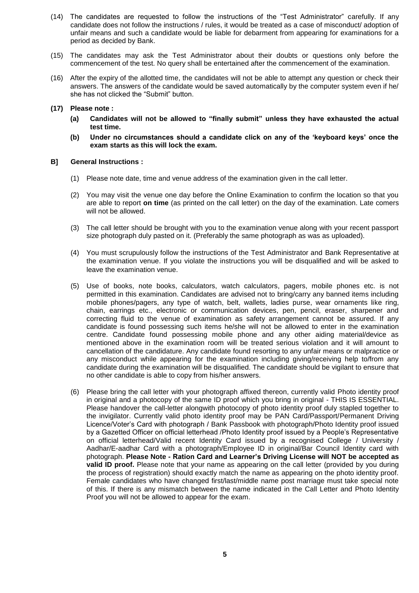- (14) The candidates are requested to follow the instructions of the "Test Administrator" carefully. If any candidate does not follow the instructions / rules, it would be treated as a case of misconduct/ adoption of unfair means and such a candidate would be liable for debarment from appearing for examinations for a period as decided by Bank.
- (15) The candidates may ask the Test Administrator about their doubts or questions only before the commencement of the test. No query shall be entertained after the commencement of the examination.
- (16) After the expiry of the allotted time, the candidates will not be able to attempt any question or check their answers. The answers of the candidate would be saved automatically by the computer system even if he/ she has not clicked the "Submit" button.

### **(17) Please note :**

- **(a) Candidates will not be allowed to "finally submit" unless they have exhausted the actual test time.**
- **(b) Under no circumstances should a candidate click on any of the 'keyboard keys' once the exam starts as this will lock the exam.**

### **B] General Instructions :**

- (1) Please note date, time and venue address of the examination given in the call letter.
- (2) You may visit the venue one day before the Online Examination to confirm the location so that you are able to report **on time** (as printed on the call letter) on the day of the examination. Late comers will not be allowed.
- (3) The call letter should be brought with you to the examination venue along with your recent passport size photograph duly pasted on it. (Preferably the same photograph as was as uploaded).
- (4) You must scrupulously follow the instructions of the Test Administrator and Bank Representative at the examination venue. If you violate the instructions you will be disqualified and will be asked to leave the examination venue.
- (5) Use of books, note books, calculators, watch calculators, pagers, mobile phones etc. is not permitted in this examination. Candidates are advised not to bring/carry any banned items including mobile phones/pagers, any type of watch, belt, wallets, ladies purse, wear ornaments like ring, chain, earrings etc., electronic or communication devices, pen, pencil, eraser, sharpener and correcting fluid to the venue of examination as safety arrangement cannot be assured. If any candidate is found possessing such items he/she will not be allowed to enter in the examination centre. Candidate found possessing mobile phone and any other aiding material/device as mentioned above in the examination room will be treated serious violation and it will amount to cancellation of the candidature. Any candidate found resorting to any unfair means or malpractice or any misconduct while appearing for the examination including giving/receiving help to/from any candidate during the examination will be disqualified. The candidate should be vigilant to ensure that no other candidate is able to copy from his/her answers.
- (6) Please bring the call letter with your photograph affixed thereon, currently valid Photo identity proof in original and a photocopy of the same ID proof which you bring in original - THIS IS ESSENTIAL. Please handover the call-letter alongwith photocopy of photo identity proof duly stapled together to the invigilator. Currently valid photo identity proof may be PAN Card/Passport/Permanent Driving Licence/Voter's Card with photograph / Bank Passbook with photograph/Photo Identity proof issued by a Gazetted Officer on official letterhead /Photo Identity proof issued by a People's Representative on official letterhead/Valid recent Identity Card issued by a recognised College / University / Aadhar/E-aadhar Card with a photograph/Employee ID in original/Bar Council Identity card with photograph. **Please Note - Ration Card and Learner's Driving License will NOT be accepted as valid ID proof.** Please note that your name as appearing on the call letter (provided by you during the process of registration) should exactly match the name as appearing on the photo identity proof. Female candidates who have changed first/last/middle name post marriage must take special note of this. If there is any mismatch between the name indicated in the Call Letter and Photo Identity Proof you will not be allowed to appear for the exam.